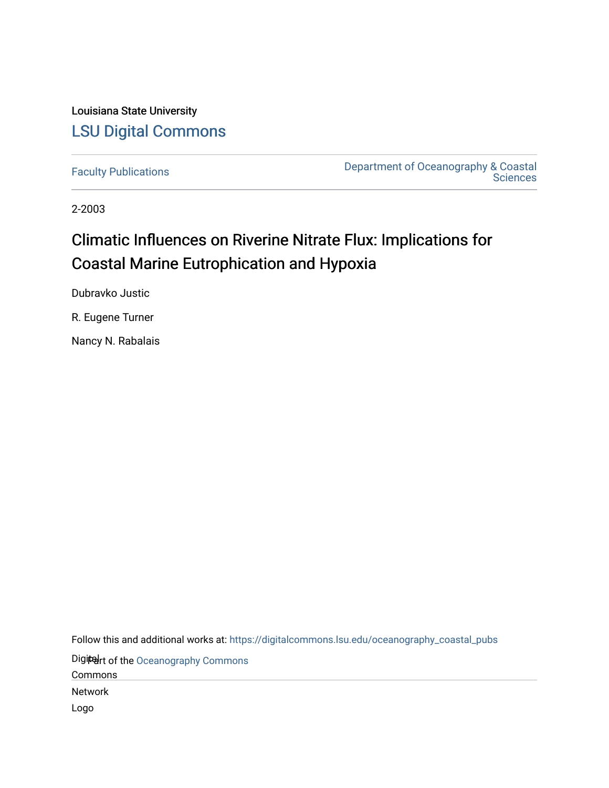Louisiana State University [LSU Digital Commons](https://digitalcommons.lsu.edu/)

[Faculty Publications](https://digitalcommons.lsu.edu/oceanography_coastal_pubs) [Department of Oceanography & Coastal](https://digitalcommons.lsu.edu/oceanography_coastal)  **Sciences** 

2-2003

# Climatic Influences on Riverine Nitrate Flux: Implications for Coastal Marine Eutrophication and Hypoxia

Dubravko Justic

R. Eugene Turner

Nancy N. Rabalais

Follow this and additional works at: [https://digitalcommons.lsu.edu/oceanography\\_coastal\\_pubs](https://digitalcommons.lsu.edu/oceanography_coastal_pubs?utm_source=digitalcommons.lsu.edu%2Foceanography_coastal_pubs%2F136&utm_medium=PDF&utm_campaign=PDFCoverPages) 

Digitart of the Oceanography Commons

Commons

Network

Logo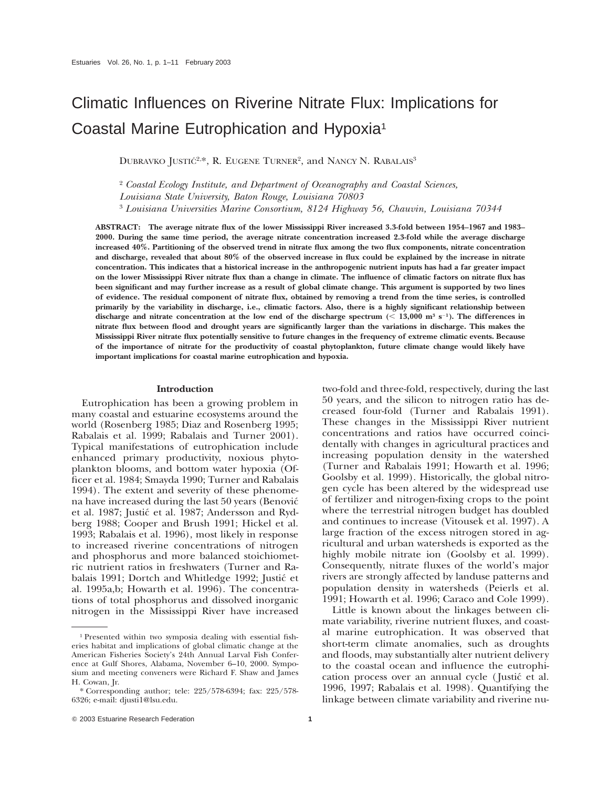# Climatic Influences on Riverine Nitrate Flux: Implications for Coastal Marine Eutrophication and Hypoxia1

DUBRAVKO JUSTIĆ<sup>2,\*</sup>, R. EUGENE TURNER<sup>2</sup>, and NANCY N. RABALAIS<sup>3</sup>

<sup>2</sup> *Coastal Ecology Institute, and Department of Oceanography and Coastal Sciences,*

*Louisiana State University, Baton Rouge, Louisiana 70803*

<sup>3</sup> *Louisiana Universities Marine Consortium, 8124 Highway 56, Chauvin, Louisiana 70344*

**ABSTRACT: The average nitrate flux of the lower Mississippi River increased 3.3-fold between 1954–1967 and 1983– 2000. During the same time period, the average nitrate concentration increased 2.3-fold while the average discharge increased 40%. Partitioning of the observed trend in nitrate flux among the two flux components, nitrate concentration and discharge, revealed that about 80% of the observed increase in flux could be explained by the increase in nitrate concentration. This indicates that a historical increase in the anthropogenic nutrient inputs has had a far greater impact on the lower Mississippi River nitrate flux than a change in climate. The influence of climatic factors on nitrate flux has been significant and may further increase as a result of global climate change. This argument is supported by two lines of evidence. The residual component of nitrate flux, obtained by removing a trend from the time series, is controlled primarily by the variability in discharge, i.e., climatic factors. Also, there is a highly significant relationship between** discharge and nitrate concentration at the low end of the discharge spectrum  $($   $<$  13,000 m<sup>3</sup> s<sup>-1</sup>). The differences in **nitrate flux between flood and drought years are significantly larger than the variations in discharge. This makes the Mississippi River nitrate flux potentially sensitive to future changes in the frequency of extreme climatic events. Because of the importance of nitrate for the productivity of coastal phytoplankton, future climate change would likely have important implications for coastal marine eutrophication and hypoxia.**

## **Introduction**

Eutrophication has been a growing problem in many coastal and estuarine ecosystems around the world (Rosenberg 1985; Diaz and Rosenberg 1995; Rabalais et al. 1999; Rabalais and Turner 2001). Typical manifestations of eutrophication include enhanced primary productivity, noxious phytoplankton blooms, and bottom water hypoxia (Officer et al. 1984; Smayda 1990; Turner and Rabalais 1994). The extent and severity of these phenomena have increased during the last 50 years (Benovic´ et al. 1987; Justić et al. 1987; Andersson and Rydberg 1988; Cooper and Brush 1991; Hickel et al. 1993; Rabalais et al. 1996), most likely in response to increased riverine concentrations of nitrogen and phosphorus and more balanced stoichiometric nutrient ratios in freshwaters (Turner and Rabalais 1991; Dortch and Whitledge 1992; Justić et al. 1995a,b; Howarth et al. 1996). The concentrations of total phosphorus and dissolved inorganic nitrogen in the Mississippi River have increased two-fold and three-fold, respectively, during the last 50 years, and the silicon to nitrogen ratio has decreased four-fold (Turner and Rabalais 1991). These changes in the Mississippi River nutrient concentrations and ratios have occurred coincidentally with changes in agricultural practices and increasing population density in the watershed (Turner and Rabalais 1991; Howarth et al. 1996; Goolsby et al. 1999). Historically, the global nitrogen cycle has been altered by the widespread use of fertilizer and nitrogen-fixing crops to the point where the terrestrial nitrogen budget has doubled and continues to increase (Vitousek et al. 1997). A large fraction of the excess nitrogen stored in agricultural and urban watersheds is exported as the highly mobile nitrate ion (Goolsby et al. 1999). Consequently, nitrate fluxes of the world's major rivers are strongly affected by landuse patterns and population density in watersheds (Peierls et al. 1991; Howarth et al. 1996; Caraco and Cole 1999).

Little is known about the linkages between climate variability, riverine nutrient fluxes, and coastal marine eutrophication. It was observed that short-term climate anomalies, such as droughts and floods, may substantially alter nutrient delivery to the coastal ocean and influence the eutrophication process over an annual cycle ( Justic´ et al. 1996, 1997; Rabalais et al. 1998). Quantifying the linkage between climate variability and riverine nu-

<sup>1</sup> Presented within two symposia dealing with essential fisheries habitat and implications of global climatic change at the American Fisheries Society's 24th Annual Larval Fish Conference at Gulf Shores, Alabama, November 6–10, 2000. Symposium and meeting conveners were Richard F. Shaw and James H. Cowan, Jr.

<sup>\*</sup> Corresponding author; tele: 225/578-6394; fax: 225/578- 6326; e-mail: djusti1@lsu.edu.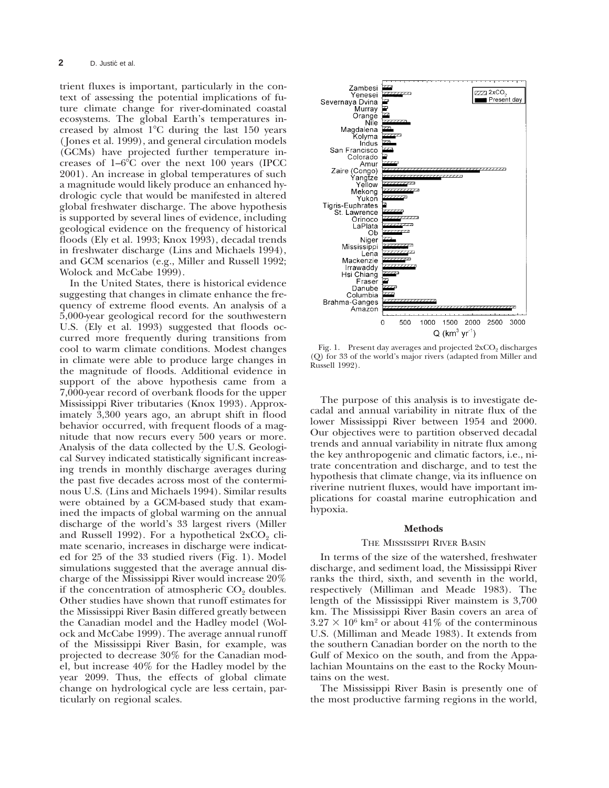trient fluxes is important, particularly in the context of assessing the potential implications of future climate change for river-dominated coastal ecosystems. The global Earth's temperatures increased by almost  $1^{\circ}$ C during the last 150 years ( Jones et al. 1999), and general circulation models (GCMs) have projected further temperature increases of  $1-6^{\circ}$ C over the next 100 years (IPCC 2001). An increase in global temperatures of such a magnitude would likely produce an enhanced hydrologic cycle that would be manifested in altered global freshwater discharge. The above hypothesis is supported by several lines of evidence, including geological evidence on the frequency of historical floods (Ely et al. 1993; Knox 1993), decadal trends in freshwater discharge (Lins and Michaels 1994), and GCM scenarios (e.g., Miller and Russell 1992; Wolock and McCabe 1999).

In the United States, there is historical evidence suggesting that changes in climate enhance the frequency of extreme flood events. An analysis of a 5,000-year geological record for the southwestern U.S. (Ely et al. 1993) suggested that floods occurred more frequently during transitions from cool to warm climate conditions. Modest changes in climate were able to produce large changes in the magnitude of floods. Additional evidence in support of the above hypothesis came from a 7,000-year record of overbank floods for the upper Mississippi River tributaries (Knox 1993). Approximately 3,300 years ago, an abrupt shift in flood behavior occurred, with frequent floods of a magnitude that now recurs every 500 years or more. Analysis of the data collected by the U.S. Geological Survey indicated statistically significant increasing trends in monthly discharge averages during the past five decades across most of the conterminous U.S. (Lins and Michaels 1994). Similar results were obtained by a GCM-based study that examined the impacts of global warming on the annual discharge of the world's 33 largest rivers (Miller and Russell 1992). For a hypothetical  $2xCO<sub>2</sub>$  climate scenario, increases in discharge were indicated for 25 of the 33 studied rivers (Fig. 1). Model simulations suggested that the average annual discharge of the Mississippi River would increase 20% if the concentration of atmospheric  $CO<sub>2</sub>$  doubles. Other studies have shown that runoff estimates for the Mississippi River Basin differed greatly between the Canadian model and the Hadley model (Wolock and McCabe 1999). The average annual runoff of the Mississippi River Basin, for example, was projected to decrease 30% for the Canadian model, but increase 40% for the Hadley model by the year 2099. Thus, the effects of global climate change on hydrological cycle are less certain, particularly on regional scales.



Fig. 1. Present day averages and projected  $2xCO<sub>2</sub>$  discharges (Q) for 33 of the world's major rivers (adapted from Miller and Russell 1992).

The purpose of this analysis is to investigate decadal and annual variability in nitrate flux of the lower Mississippi River between 1954 and 2000. Our objectives were to partition observed decadal trends and annual variability in nitrate flux among the key anthropogenic and climatic factors, i.e., nitrate concentration and discharge, and to test the hypothesis that climate change, via its influence on riverine nutrient fluxes, would have important implications for coastal marine eutrophication and hypoxia.

#### **Methods**

#### THE MISSISSIPPI RIVER BASIN

In terms of the size of the watershed, freshwater discharge, and sediment load, the Mississippi River ranks the third, sixth, and seventh in the world, respectively (Milliman and Meade 1983). The length of the Mississippi River mainstem is 3,700 km. The Mississippi River Basin covers an area of  $3.27 \times 10^6$  km<sup>2</sup> or about 41% of the conterminous U.S. (Milliman and Meade 1983). It extends from the southern Canadian border on the north to the Gulf of Mexico on the south, and from the Appalachian Mountains on the east to the Rocky Mountains on the west.

The Mississippi River Basin is presently one of the most productive farming regions in the world,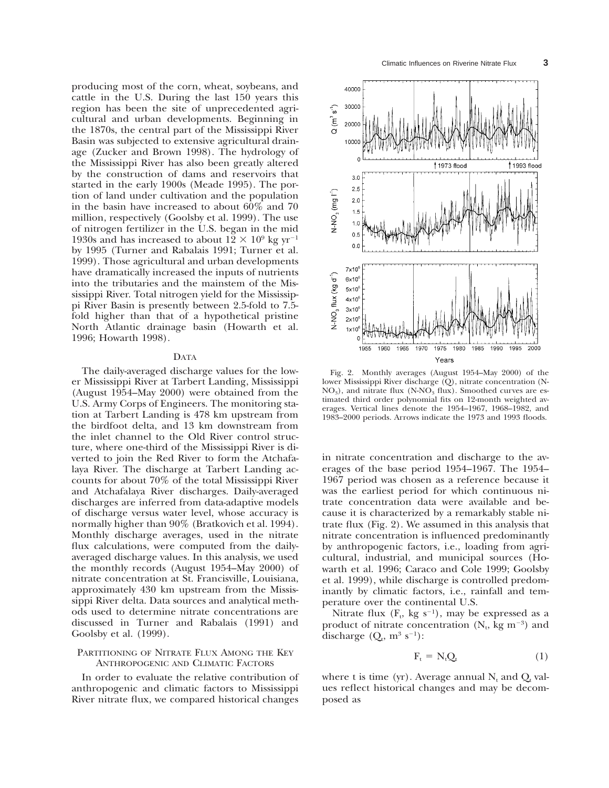producing most of the corn, wheat, soybeans, and cattle in the U.S. During the last 150 years this region has been the site of unprecedented agricultural and urban developments. Beginning in the 1870s, the central part of the Mississippi River Basin was subjected to extensive agricultural drainage (Zucker and Brown 1998). The hydrology of the Mississippi River has also been greatly altered by the construction of dams and reservoirs that started in the early 1900s (Meade 1995). The portion of land under cultivation and the population in the basin have increased to about 60% and 70 million, respectively (Goolsby et al. 1999). The use of nitrogen fertilizer in the U.S. began in the mid 1930s and has increased to about  $12 \times 10^9$  kg yr<sup>-1</sup> by 1995 (Turner and Rabalais 1991; Turner et al. 1999). Those agricultural and urban developments have dramatically increased the inputs of nutrients into the tributaries and the mainstem of the Mississippi River. Total nitrogen yield for the Mississippi River Basin is presently between 2.5-fold to 7.5 fold higher than that of a hypothetical pristine North Atlantic drainage basin (Howarth et al. 1996; Howarth 1998).

#### DATA

The daily-averaged discharge values for the lower Mississippi River at Tarbert Landing, Mississippi (August 1954–May 2000) were obtained from the U.S. Army Corps of Engineers. The monitoring station at Tarbert Landing is 478 km upstream from the birdfoot delta, and 13 km downstream from the inlet channel to the Old River control structure, where one-third of the Mississippi River is diverted to join the Red River to form the Atchafalaya River. The discharge at Tarbert Landing accounts for about 70% of the total Mississippi River and Atchafalaya River discharges. Daily-averaged discharges are inferred from data-adaptive models of discharge versus water level, whose accuracy is normally higher than 90% (Bratkovich et al. 1994). Monthly discharge averages, used in the nitrate flux calculations, were computed from the dailyaveraged discharge values. In this analysis, we used the monthly records (August 1954–May 2000) of nitrate concentration at St. Francisville, Louisiana, approximately 430 km upstream from the Mississippi River delta. Data sources and analytical methods used to determine nitrate concentrations are discussed in Turner and Rabalais (1991) and Goolsby et al. (1999).

## PARTITIONING OF NITRATE FLUX AMONG THE KEY ANTHROPOGENIC AND CLIMATIC FACTORS

In order to evaluate the relative contribution of anthropogenic and climatic factors to Mississippi River nitrate flux, we compared historical changes



Fig. 2. Monthly averages (August 1954–May 2000) of the lower Mississippi River discharge (Q), nitrate concentration (N- $NO<sub>3</sub>$ ), and nitrate flux (N- $NO<sub>3</sub>$  flux). Smoothed curves are estimated third order polynomial fits on 12-month weighted averages. Vertical lines denote the 1954–1967, 1968–1982, and 1983–2000 periods. Arrows indicate the 1973 and 1993 floods.

in nitrate concentration and discharge to the averages of the base period 1954–1967. The 1954– 1967 period was chosen as a reference because it was the earliest period for which continuous nitrate concentration data were available and because it is characterized by a remarkably stable nitrate flux (Fig. 2). We assumed in this analysis that nitrate concentration is influenced predominantly by anthropogenic factors, i.e., loading from agricultural, industrial, and municipal sources (Howarth et al. 1996; Caraco and Cole 1999; Goolsby et al. 1999), while discharge is controlled predominantly by climatic factors, i.e., rainfall and temperature over the continental U.S.

Nitrate flux  $(F_t, kg s^{-1}),$  may be expressed as a product of nitrate concentration  $(N_t, kg m^{-3})$  and discharge  $(Q_t, m^3 s^{-1})$ :

$$
F_t = N_t Q_t \tag{1}
$$

where t is time (yr). Average annual  $N_t$  and  $Q_t$  values reflect historical changes and may be decomposed as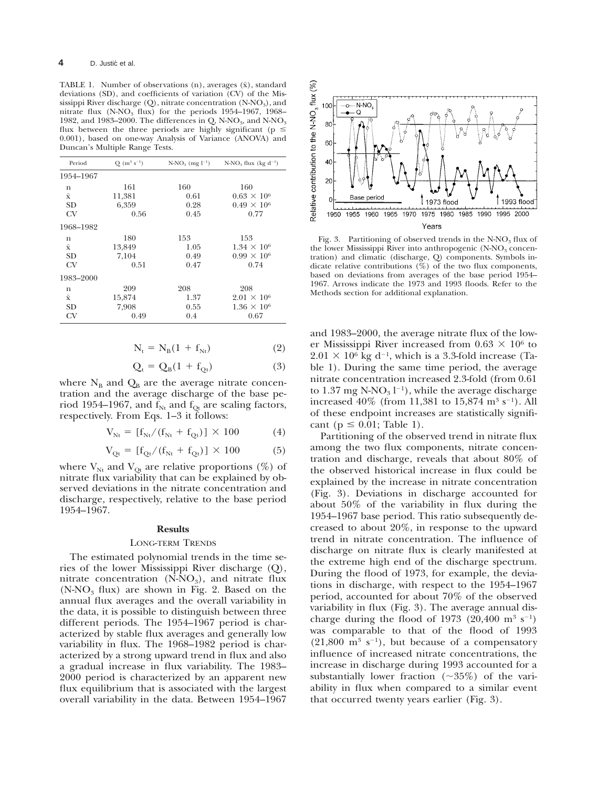TABLE 1. Number of observations  $(n)$ , averages  $(\bar{x})$ , standard deviations (SD), and coefficients of variation (CV) of the Mississippi River discharge (Q), nitrate concentration (N-NO3), and nitrate flux  $(N-NO<sub>3</sub>$  flux) for the periods 1954–1967, 1968– 1982, and 1983–2000. The differences in Q, N-NO<sub>3</sub>, and N-NO<sub>3</sub> flux between the three periods are highly significant (p  $\leq$ 0.001), based on one-way Analysis of Variance (ANOVA) and Duncan's Multiple Range Tests.

| Period             | $Q(m^3 s^{-1})$ | $N-NO_3$ (mg $l^{-1}$ ) | $N-NO_3$ flux (kg d <sup>-1</sup> ) |
|--------------------|-----------------|-------------------------|-------------------------------------|
| 1954-1967          |                 |                         |                                     |
| n                  | 161             | 160                     | 160                                 |
| $\bar{\mathbf{x}}$ | 11,381          | 0.61                    | $0.63 \times 10^{6}$                |
| <b>SD</b>          | 6,359           | 0.28                    | $0.49 \times 10^6$                  |
| CV                 | 0.56            | 0.45                    | 0.77                                |
| 1968-1982          |                 |                         |                                     |
| n                  | 180             | 153                     | 153                                 |
| $\bar{\mathbf{x}}$ | 13,849          | 1.05                    | $1.34 \times 10^6$                  |
| <b>SD</b>          | 7.104           | 0.49                    | $0.99 \times 10^6$                  |
| CV                 | 0.51            | 0.47                    | 0.74                                |
| 1983-2000          |                 |                         |                                     |
| n                  | 209             | 208                     | 208                                 |
| $\bar{\mathbf{x}}$ | 15,874          | 1.37                    | $2.01 \times 10^6$                  |
| <b>SD</b>          | 7,908           | 0.55                    | $1.36 \times 10^6$                  |
| CV                 | 0.49            | 0.4                     | 0.67                                |

$$
N_t = N_B(1 + f_{Nt})
$$
 (2)

$$
Q_t = Q_B(1 + f_{Qt})
$$
 (3)

where  $N_B$  and  $Q_B$  are the average nitrate concentration and the average discharge of the base period 1954–1967, and  $f_{Nt}$  and  $f_{Qt}$  are scaling factors, respectively. From Eqs. 1–3 it follows:

$$
V_{Nt} = [f_{Nt}/(f_{Nt} + f_{Qt})] \times 100
$$
 (4)

$$
V_{Qt} = [f_{Qt}/(f_{Nt} + f_{Qt})] \times 100
$$
 (5)

where  $V_{Nt}$  and  $V_{Qt}$  are relative proportions (%) of nitrate flux variability that can be explained by observed deviations in the nitrate concentration and discharge, respectively, relative to the base period 1954–1967.

## **Results**

#### LONG-TERM TRENDS

The estimated polynomial trends in the time series of the lower Mississippi River discharge (Q), nitrate concentration  $(N-NO_3)$ , and nitrate flux  $(N-NO<sub>3</sub>$  flux) are shown in Fig. 2. Based on the annual flux averages and the overall variability in the data, it is possible to distinguish between three different periods. The 1954–1967 period is characterized by stable flux averages and generally low variability in flux. The 1968–1982 period is characterized by a strong upward trend in flux and also a gradual increase in flux variability. The 1983– 2000 period is characterized by an apparent new flux equilibrium that is associated with the largest overall variability in the data. Between 1954–1967



Fig. 3. Partitioning of observed trends in the  $N-NO_3$  flux of the lower Mississippi River into anthropogenic  $(N-NO<sub>3</sub>$  concentration) and climatic (discharge, Q) components. Symbols indicate relative contributions  $(\%)$  of the two flux components, based on deviations from averages of the base period 1954– 1967. Arrows indicate the 1973 and 1993 floods. Refer to the Methods section for additional explanation.

and 1983–2000, the average nitrate flux of the lower Mississippi River increased from  $0.63 \times 10^6$  to  $2.01 \times 10^6$  kg d<sup>-1</sup>, which is a 3.3-fold increase (Table 1). During the same time period, the average nitrate concentration increased 2.3-fold (from 0.61 to  $1.37 \text{ mg }$  N-NO<sub>3</sub> l<sup>-1</sup>), while the average discharge increased  $40\%$  (from 11,381 to 15,874 m<sup>3</sup> s<sup>-1</sup>). All of these endpoint increases are statistically significant ( $p \leq 0.01$ ; Table 1).

Partitioning of the observed trend in nitrate flux among the two flux components, nitrate concentration and discharge, reveals that about 80% of the observed historical increase in flux could be explained by the increase in nitrate concentration (Fig. 3). Deviations in discharge accounted for about 50% of the variability in flux during the 1954–1967 base period. This ratio subsequently decreased to about 20%, in response to the upward trend in nitrate concentration. The influence of discharge on nitrate flux is clearly manifested at the extreme high end of the discharge spectrum. During the flood of 1973, for example, the deviations in discharge, with respect to the 1954–1967 period, accounted for about 70% of the observed variability in flux (Fig. 3). The average annual discharge during the flood of 1973 (20,400 m<sup>3</sup> s<sup>-1</sup>) was comparable to that of the flood of 1993  $(21,800 \text{ m}^3 \text{ s}^{-1})$ , but because of a compensatory influence of increased nitrate concentrations, the increase in discharge during 1993 accounted for a substantially lower fraction  $(\sim 35\%)$  of the variability in flux when compared to a similar event that occurred twenty years earlier (Fig. 3).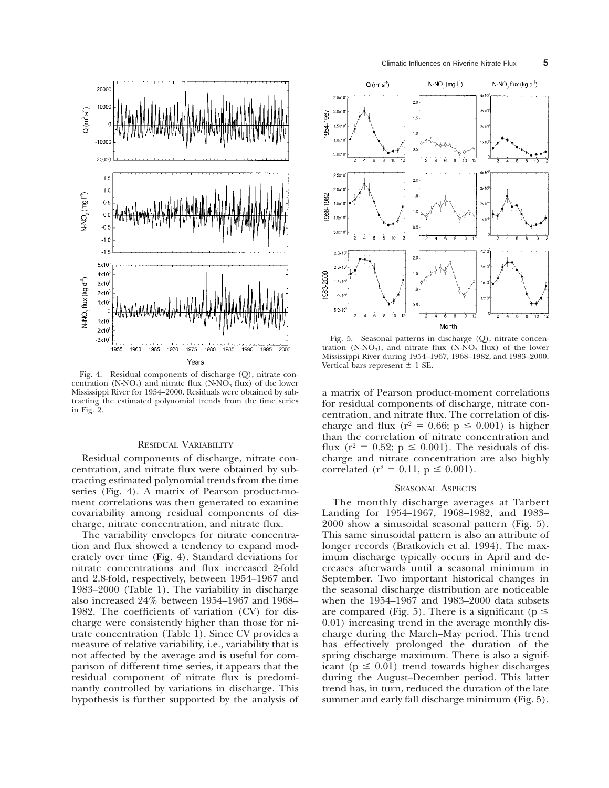

Fig. 4. Residual components of discharge (Q), nitrate concentration (N-NO<sub>3</sub>) and nitrate flux (N-NO<sub>3</sub> flux) of the lower Mississippi River for 1954–2000. Residuals were obtained by subtracting the estimated polynomial trends from the time series in Fig. 2.

## RESIDUAL VARIABILITY

Residual components of discharge, nitrate concentration, and nitrate flux were obtained by subtracting estimated polynomial trends from the time series (Fig. 4). A matrix of Pearson product-moment correlations was then generated to examine covariability among residual components of discharge, nitrate concentration, and nitrate flux.

The variability envelopes for nitrate concentration and flux showed a tendency to expand moderately over time (Fig. 4). Standard deviations for nitrate concentrations and flux increased 2-fold and 2.8-fold, respectively, between 1954–1967 and 1983–2000 (Table 1). The variability in discharge also increased 24% between 1954–1967 and 1968– 1982. The coefficients of variation (CV) for discharge were consistently higher than those for nitrate concentration (Table 1). Since CV provides a measure of relative variability, i.e., variability that is not affected by the average and is useful for comparison of different time series, it appears that the residual component of nitrate flux is predominantly controlled by variations in discharge. This hypothesis is further supported by the analysis of



Fig. 5. Seasonal patterns in discharge (Q), nitrate concentration (N-NO<sub>3</sub>), and nitrate flux (N-NO<sub>3</sub> flux) of the lower Mississippi River during 1954–1967, 1968–1982, and 1983–2000. Vertical bars represent  $\pm$  1 SE.

a matrix of Pearson product-moment correlations for residual components of discharge, nitrate concentration, and nitrate flux. The correlation of discharge and flux ( $r^2 = 0.66$ ;  $p \le 0.001$ ) is higher than the correlation of nitrate concentration and flux ( $r^2 = 0.52$ ;  $p \le 0.001$ ). The residuals of discharge and nitrate concentration are also highly correlated ( $r^2 = 0.11$ ,  $p \le 0.001$ ).

#### SEASONAL ASPECTS

The monthly discharge averages at Tarbert Landing for 1954–1967, 1968–1982, and 1983– 2000 show a sinusoidal seasonal pattern (Fig. 5). This same sinusoidal pattern is also an attribute of longer records (Bratkovich et al. 1994). The maximum discharge typically occurs in April and decreases afterwards until a seasonal minimum in September. Two important historical changes in the seasonal discharge distribution are noticeable when the 1954–1967 and 1983–2000 data subsets are compared (Fig. 5). There is a significant ( $p \le$ 0.01) increasing trend in the average monthly discharge during the March–May period. This trend has effectively prolonged the duration of the spring discharge maximum. There is also a significant ( $p \leq 0.01$ ) trend towards higher discharges during the August–December period. This latter trend has, in turn, reduced the duration of the late summer and early fall discharge minimum (Fig. 5).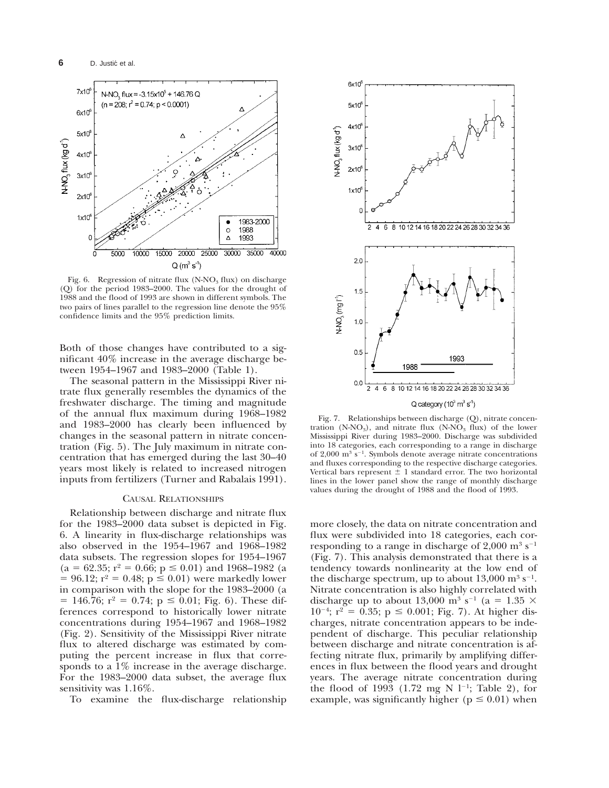

Fig. 6. Regression of nitrate flux  $(N-NO<sub>3</sub> flux)$  on discharge (Q) for the period 1983–2000. The values for the drought of 1988 and the flood of 1993 are shown in different symbols. The two pairs of lines parallel to the regression line denote the 95% confidence limits and the 95% prediction limits.

Both of those changes have contributed to a significant 40% increase in the average discharge between 1954–1967 and 1983–2000 (Table 1).

The seasonal pattern in the Mississippi River nitrate flux generally resembles the dynamics of the freshwater discharge. The timing and magnitude of the annual flux maximum during 1968–1982 and 1983–2000 has clearly been influenced by changes in the seasonal pattern in nitrate concentration (Fig. 5). The July maximum in nitrate concentration that has emerged during the last 30–40 years most likely is related to increased nitrogen inputs from fertilizers (Turner and Rabalais 1991).

## CAUSAL RELATIONSHIPS

Relationship between discharge and nitrate flux for the 1983–2000 data subset is depicted in Fig. 6. A linearity in flux-discharge relationships was also observed in the 1954–1967 and 1968–1982 data subsets. The regression slopes for 1954–1967  $(a = 62.35; r^2 = 0.66; p \le 0.01)$  and 1968–1982 (a  $= 96.12$ ;  $r^2 = 0.48$ ;  $p \le 0.01$ ) were markedly lower in comparison with the slope for the 1983–2000 (a  $= 146.76$ ;  $r^2 = 0.74$ ;  $p \le 0.01$ ; Fig. 6). These differences correspond to historically lower nitrate concentrations during 1954–1967 and 1968–1982 (Fig. 2). Sensitivity of the Mississippi River nitrate flux to altered discharge was estimated by computing the percent increase in flux that corresponds to a 1% increase in the average discharge. For the 1983–2000 data subset, the average flux sensitivity was 1.16%.

To examine the flux-discharge relationship



Fig. 7. Relationships between discharge (Q), nitrate concentration (N-NO<sub>3</sub>), and nitrate flux (N-NO<sub>3</sub> flux) of the lower Mississippi River during 1983–2000. Discharge was subdivided into 18 categories, each corresponding to a range in discharge of 2,000  $\mathrm{m}^3$  s<sup>-1</sup>. Symbols denote average nitrate concentrations and fluxes corresponding to the respective discharge categories. Vertical bars represent  $\pm$  1 standard error. The two horizontal lines in the lower panel show the range of monthly discharge values during the drought of 1988 and the flood of 1993.

more closely, the data on nitrate concentration and flux were subdivided into 18 categories, each corresponding to a range in discharge of  $2,000 \text{ m}^3 \text{ s}^{-1}$ (Fig. 7). This analysis demonstrated that there is a tendency towards nonlinearity at the low end of the discharge spectrum, up to about  $13,000 \text{ m}^3 \text{ s}^{-1}$ . Nitrate concentration is also highly correlated with discharge up to about 13,000 m<sup>3</sup> s<sup>-1</sup> (a = 1.35  $\times$  $10^{-4}$ ;  $r^2 = 0.35$ ;  $p \le 0.001$ ; Fig. 7). At higher discharges, nitrate concentration appears to be independent of discharge. This peculiar relationship between discharge and nitrate concentration is affecting nitrate flux, primarily by amplifying differences in flux between the flood years and drought years. The average nitrate concentration during the flood of 1993 (1.72 mg N  $1^{-1}$ ; Table 2), for example, was significantly higher ( $p \le 0.01$ ) when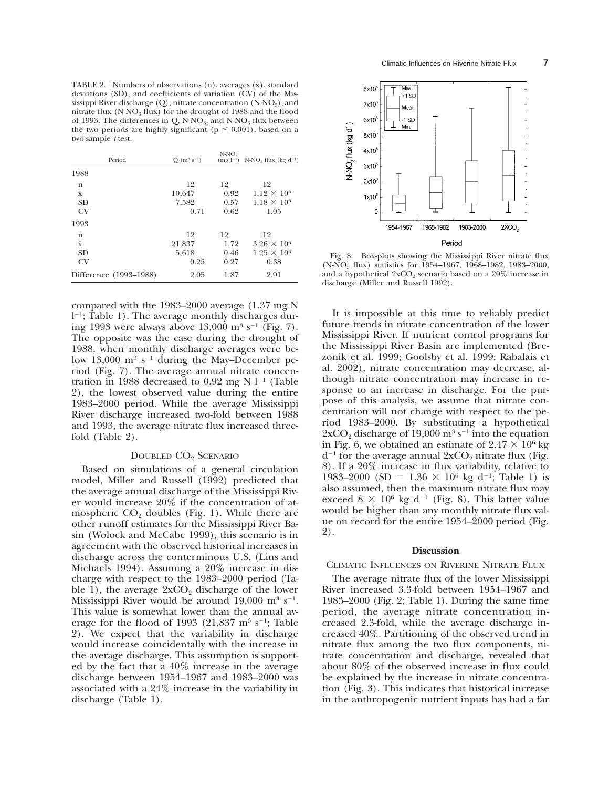TABLE 2. Numbers of observations  $(n)$ , averages  $(\bar{x})$ , standard deviations (SD), and coefficients of variation  $\overline{(CV)}$  of the Mississippi River discharge  $(O)$ , nitrate concentration  $(N-NO<sub>3</sub>)$ , and nitrate flux  $(N-NO<sub>3</sub>$  flux) for the drought of 1988 and the flood of 1993. The differences in Q, N-NO<sub>3</sub>, and N-NO<sub>3</sub> flux between the two periods are highly significant ( $p \le 0.001$ ), based on a two-sample *t*-test.

| Period                                     | $Q(m^3 s^{-1})$               | $N-NO_3$<br>$(mg l^{-1})$  | $N-NO_3$ flux (kg d <sup>-1</sup> )                        |
|--------------------------------------------|-------------------------------|----------------------------|------------------------------------------------------------|
| 1988                                       |                               |                            |                                                            |
| n<br>$\bar{\mathbf{x}}$<br><b>SD</b><br>CV | 12<br>10,647<br>7.582<br>0.71 | 12<br>0.92<br>0.57<br>0.62 | 12<br>$1.12 \times 10^{6}$<br>$1.18 \times 10^{6}$<br>1.05 |
| 1993<br>n<br>$\bar{\mathbf{x}}$            | 12<br>21,837                  | 12<br>1.72                 | 12<br>$3.26 \times 10^{6}$                                 |
| <b>SD</b><br>CV                            | 5,618<br>0.25                 | 0.46<br>0.27               | $1.25 \times 10^6$<br>0.38                                 |
| Difference (1993-1988)                     | 2.05                          | 1.87                       | 2.91                                                       |

compared with the 1983–2000 average (1.37 mg N l 21; Table 1). The average monthly discharges during 1993 were always above 13,000 m<sup>3</sup> s<sup>-1</sup> (Fig. 7). The opposite was the case during the drought of 1988, when monthly discharge averages were below 13,000  $\mathrm{m}^3$  s<sup>-1</sup> during the May–December period (Fig. 7). The average annual nitrate concentration in 1988 decreased to 0.92 mg N  $l^{-1}$  (Table 2), the lowest observed value during the entire 1983–2000 period. While the average Mississippi River discharge increased two-fold between 1988 and 1993, the average nitrate flux increased threefold (Table 2).

#### DOUBLED CO<sub>2</sub> SCENARIO

Based on simulations of a general circulation model, Miller and Russell (1992) predicted that the average annual discharge of the Mississippi River would increase 20% if the concentration of atmospheric  $CO<sub>2</sub>$  doubles (Fig. 1). While there are other runoff estimates for the Mississippi River Basin (Wolock and McCabe 1999), this scenario is in agreement with the observed historical increases in discharge across the conterminous U.S. (Lins and Michaels 1994). Assuming a 20% increase in discharge with respect to the 1983–2000 period (Table 1), the average  $2xCO<sub>2</sub>$  discharge of the lower Mississippi River would be around 19,000  $\mathrm{m}^3$  s<sup>-1</sup>. This value is somewhat lower than the annual average for the flood of 1993 (21,837  $\text{m}^3$  s<sup>-1</sup>; Table 2). We expect that the variability in discharge would increase coincidentally with the increase in the average discharge. This assumption is supported by the fact that a 40% increase in the average discharge between 1954–1967 and 1983–2000 was associated with a 24% increase in the variability in discharge (Table 1).



Fig. 8. Box-plots showing the Mississippi River nitrate flux (N-NO<sub>3</sub> flux) statistics for 1954–1967, 1968–1982, 1983–2000, and a hypothetical  $2\mathrm{xCO}_2$  scenario based on a  $20\%$  increase in discharge (Miller and Russell 1992).

It is impossible at this time to reliably predict future trends in nitrate concentration of the lower Mississippi River. If nutrient control programs for the Mississippi River Basin are implemented (Brezonik et al. 1999; Goolsby et al. 1999; Rabalais et al. 2002), nitrate concentration may decrease, although nitrate concentration may increase in response to an increase in discharge. For the purpose of this analysis, we assume that nitrate concentration will not change with respect to the period 1983–2000. By substituting a hypothetical  $2xCO<sub>2</sub>$  discharge of 19,000 m<sup>3</sup> s<sup>-1</sup> into the equation in Fig. 6, we obtained an estimate of  $2.47 \times 10^6$  kg  $d^{-1}$  for the average annual  $2xCO_2$  nitrate flux (Fig. 8). If a 20% increase in flux variability, relative to 1983–2000 (SD = 1.36  $\times$  10<sup>6</sup> kg d<sup>-1</sup>; Table 1) is also assumed, then the maximum nitrate flux may exceed  $8 \times 10^6$  kg d<sup>-1</sup> (Fig. 8). This latter value would be higher than any monthly nitrate flux value on record for the entire 1954–2000 period (Fig. 2).

## **Discussion**

### CLIMATIC INFLUENCES ON RIVERINE NITRATE FLUX

The average nitrate flux of the lower Mississippi River increased 3.3-fold between 1954–1967 and 1983–2000 (Fig. 2; Table 1). During the same time period, the average nitrate concentration increased 2.3-fold, while the average discharge increased 40%. Partitioning of the observed trend in nitrate flux among the two flux components, nitrate concentration and discharge, revealed that about 80% of the observed increase in flux could be explained by the increase in nitrate concentration (Fig. 3). This indicates that historical increase in the anthropogenic nutrient inputs has had a far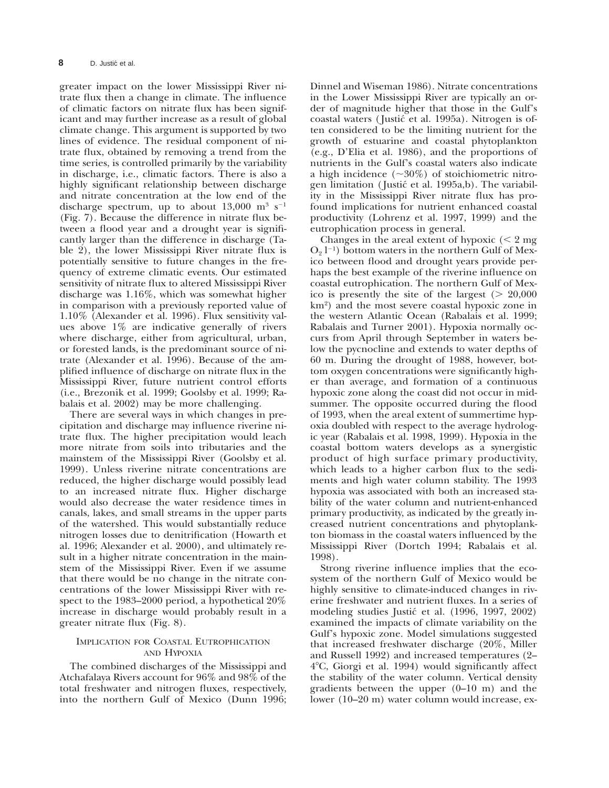greater impact on the lower Mississippi River nitrate flux then a change in climate. The influence of climatic factors on nitrate flux has been significant and may further increase as a result of global climate change. This argument is supported by two lines of evidence. The residual component of nitrate flux, obtained by removing a trend from the time series, is controlled primarily by the variability in discharge, i.e., climatic factors. There is also a highly significant relationship between discharge and nitrate concentration at the low end of the discharge spectrum, up to about  $13,000 \text{ m}^3 \text{ s}^{-1}$ (Fig. 7). Because the difference in nitrate flux between a flood year and a drought year is significantly larger than the difference in discharge (Table 2), the lower Mississippi River nitrate flux is potentially sensitive to future changes in the frequency of extreme climatic events. Our estimated sensitivity of nitrate flux to altered Mississippi River discharge was 1.16%, which was somewhat higher in comparison with a previously reported value of 1.10% (Alexander et al. 1996). Flux sensitivity values above 1% are indicative generally of rivers where discharge, either from agricultural, urban, or forested lands, is the predominant source of nitrate (Alexander et al. 1996). Because of the amplified influence of discharge on nitrate flux in the Mississippi River, future nutrient control efforts (i.e., Brezonik et al. 1999; Goolsby et al. 1999; Rabalais et al. 2002) may be more challenging.

There are several ways in which changes in precipitation and discharge may influence riverine nitrate flux. The higher precipitation would leach more nitrate from soils into tributaries and the mainstem of the Mississippi River (Goolsby et al. 1999). Unless riverine nitrate concentrations are reduced, the higher discharge would possibly lead to an increased nitrate flux. Higher discharge would also decrease the water residence times in canals, lakes, and small streams in the upper parts of the watershed. This would substantially reduce nitrogen losses due to denitrification (Howarth et al. 1996; Alexander et al. 2000), and ultimately result in a higher nitrate concentration in the mainstem of the Mississippi River. Even if we assume that there would be no change in the nitrate concentrations of the lower Mississippi River with respect to the 1983–2000 period, a hypothetical 20% increase in discharge would probably result in a greater nitrate flux (Fig. 8).

## IMPLICATION FOR COASTAL EUTROPHICATION AND HYPOXIA

The combined discharges of the Mississippi and Atchafalaya Rivers account for 96% and 98% of the total freshwater and nitrogen fluxes, respectively, into the northern Gulf of Mexico (Dunn 1996;

Dinnel and Wiseman 1986). Nitrate concentrations in the Lower Mississippi River are typically an order of magnitude higher that those in the Gulf's coastal waters (Justić et al. 1995a). Nitrogen is often considered to be the limiting nutrient for the growth of estuarine and coastal phytoplankton (e.g., D'Elia et al. 1986), and the proportions of nutrients in the Gulf's coastal waters also indicate a high incidence  $(\sim 30\%)$  of stoichiometric nitrogen limitation (Justić et al. 1995a,b). The variability in the Mississippi River nitrate flux has profound implications for nutrient enhanced coastal productivity (Lohrenz et al. 1997, 1999) and the eutrophication process in general.

Changes in the areal extent of hypoxic  $(< 2$  mg  $O_2$  l<sup>-1</sup>) bottom waters in the northern Gulf of Mexico between flood and drought years provide perhaps the best example of the riverine influence on coastal eutrophication. The northern Gulf of Mexico is presently the site of the largest  $(> 20,000)$ km2) and the most severe coastal hypoxic zone in the western Atlantic Ocean (Rabalais et al. 1999; Rabalais and Turner 2001). Hypoxia normally occurs from April through September in waters below the pycnocline and extends to water depths of 60 m. During the drought of 1988, however, bottom oxygen concentrations were significantly higher than average, and formation of a continuous hypoxic zone along the coast did not occur in midsummer. The opposite occurred during the flood of 1993, when the areal extent of summertime hypoxia doubled with respect to the average hydrologic year (Rabalais et al. 1998, 1999). Hypoxia in the coastal bottom waters develops as a synergistic product of high surface primary productivity, which leads to a higher carbon flux to the sediments and high water column stability. The 1993 hypoxia was associated with both an increased stability of the water column and nutrient-enhanced primary productivity, as indicated by the greatly increased nutrient concentrations and phytoplankton biomass in the coastal waters influenced by the Mississippi River (Dortch 1994; Rabalais et al. 1998).

Strong riverine influence implies that the ecosystem of the northern Gulf of Mexico would be highly sensitive to climate-induced changes in riverine freshwater and nutrient fluxes. In a series of modeling studies Justic´ et al. (1996, 1997, 2002) examined the impacts of climate variability on the Gulf's hypoxic zone. Model simulations suggested that increased freshwater discharge (20%, Miller and Russell 1992) and increased temperatures (2– 48C, Giorgi et al. 1994) would significantly affect the stability of the water column. Vertical density gradients between the upper (0–10 m) and the lower (10–20 m) water column would increase, ex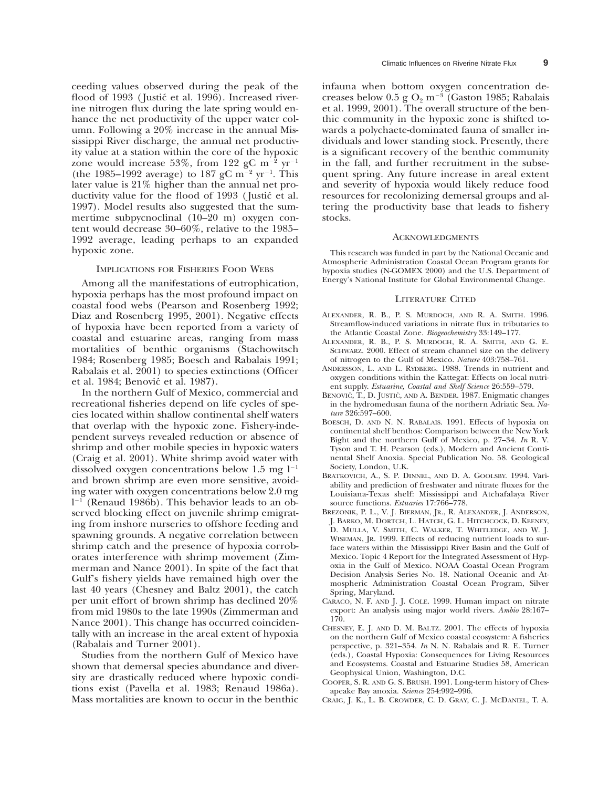ceeding values observed during the peak of the flood of 1993 (Justić et al. 1996). Increased riverine nitrogen flux during the late spring would enhance the net productivity of the upper water column. Following a 20% increase in the annual Mississippi River discharge, the annual net productivity value at a station within the core of the hypoxic zone would increase 53%, from 122 gC  $m^{-2}$  yr<sup>-1</sup> (the 1985–1992 average) to 187 gC  $m^{-2}$  yr<sup>-1</sup>. This later value is 21% higher than the annual net productivity value for the flood of 1993 (Justić et al. 1997). Model results also suggested that the summertime subpycnoclinal (10–20 m) oxygen content would decrease 30–60%, relative to the 1985– 1992 average, leading perhaps to an expanded hypoxic zone.

### IMPLICATIONS FOR FISHERIES FOOD WEBS

Among all the manifestations of eutrophication, hypoxia perhaps has the most profound impact on coastal food webs (Pearson and Rosenberg 1992; Diaz and Rosenberg 1995, 2001). Negative effects of hypoxia have been reported from a variety of coastal and estuarine areas, ranging from mass mortalities of benthic organisms (Stachowitsch 1984; Rosenberg 1985; Boesch and Rabalais 1991; Rabalais et al. 2001) to species extinctions (Officer et al. 1984; Benović et al. 1987).

In the northern Gulf of Mexico, commercial and recreational fisheries depend on life cycles of species located within shallow continental shelf waters that overlap with the hypoxic zone. Fishery-independent surveys revealed reduction or absence of shrimp and other mobile species in hypoxic waters (Craig et al. 2001). White shrimp avoid water with dissolved oxygen concentrations below 1.5 mg  $l^{-1}$ and brown shrimp are even more sensitive, avoiding water with oxygen concentrations below 2.0 mg l <sup>2</sup><sup>1</sup> (Renaud 1986b). This behavior leads to an observed blocking effect on juvenile shrimp emigrating from inshore nurseries to offshore feeding and spawning grounds. A negative correlation between shrimp catch and the presence of hypoxia corroborates interference with shrimp movement (Zimmerman and Nance 2001). In spite of the fact that Gulf's fishery yields have remained high over the last 40 years (Chesney and Baltz 2001), the catch per unit effort of brown shrimp has declined 20% from mid 1980s to the late 1990s (Zimmerman and Nance 2001). This change has occurred coincidentally with an increase in the areal extent of hypoxia (Rabalais and Turner 2001).

Studies from the northern Gulf of Mexico have shown that demersal species abundance and diversity are drastically reduced where hypoxic conditions exist (Pavella et al. 1983; Renaud 1986a). Mass mortalities are known to occur in the benthic

infauna when bottom oxygen concentration decreases below 0.5 g  $O_2$  m<sup>-3</sup> (Gaston 1985; Rabalais et al. 1999, 2001). The overall structure of the benthic community in the hypoxic zone is shifted towards a polychaete-dominated fauna of smaller individuals and lower standing stock. Presently, there is a significant recovery of the benthic community in the fall, and further recruitment in the subsequent spring. Any future increase in areal extent and severity of hypoxia would likely reduce food resources for recolonizing demersal groups and altering the productivity base that leads to fishery stocks.

#### ACKNOWLEDGMENTS

This research was funded in part by the National Oceanic and Atmospheric Administration Coastal Ocean Program grants for hypoxia studies (N-GOMEX 2000) and the U.S. Department of Energy's National Institute for Global Environmental Change.

#### LITERATURE CITED

- ALEXANDER, R. B., P. S. MURDOCH, AND R. A. SMITH. 1996. Streamflow-induced variations in nitrate flux in tributaries to the Atlantic Coastal Zone. *Biogeochemistry* 33:149–177.
- ALEXANDER, R. B., P. S. MURDOCH, R. A. SMITH, AND G. E. SCHWARZ. 2000. Effect of stream channel size on the delivery of nitrogen to the Gulf of Mexico. *Nature* 403:758–761.
- ANDERSSON, L. AND L. RYDBERG. 1988. Trends in nutrient and oxygen conditions within the Kattegat: Effects on local nutrient supply. *Estuarine, Coastal and Shelf Science* 26:559–579.
- BENOVIĆ, T., D. JUSTIĆ, AND A. BENDER. 1987. Enigmatic changes in the hydromedusan fauna of the northern Adriatic Sea. *Nature* 326:597–600.
- BOESCH, D. AND N. N. RABALAIS. 1991. Effects of hypoxia on continental shelf benthos: Comparison between the New York Bight and the northern Gulf of Mexico, p. 27–34. *In* R. V. Tyson and T. H. Pearson (eds.), Modern and Ancient Continental Shelf Anoxia. Special Publication No. 58. Geological Society, London, U.K.
- BRATKOVICH, A., S. P. DINNEL, AND D. A. GOOLSBY. 1994. Variability and prediction of freshwater and nitrate fluxes for the Louisiana-Texas shelf: Mississippi and Atchafalaya River source functions. *Estuaries* 17:766–778.
- BREZONIK, P. L., V. J. BIERMAN, JR., R. ALEXANDER, J. ANDERSON, J. BARKO, M. DORTCH, L. HATCH, G. L. HITCHCOCK, D. KEENEY, D. MULLA, V. SMITH, C. WALKER, T. WHITLEDGE, AND W. J. WISEMAN, JR. 1999. Effects of reducing nutrient loads to surface waters within the Mississippi River Basin and the Gulf of Mexico. Topic 4 Report for the Integrated Assessment of Hypoxia in the Gulf of Mexico. NOAA Coastal Ocean Program Decision Analysis Series No. 18. National Oceanic and Atmospheric Administration Coastal Ocean Program, Silver Spring, Maryland.
- CARACO, N. F. AND J. J. COLE. 1999. Human impact on nitrate export: An analysis using major world rivers. *Ambio* 28:167– 170.
- CHESNEY, E. J. AND D. M. BALTZ. 2001. The effects of hypoxia on the northern Gulf of Mexico coastal ecosystem: A fisheries perspective, p. 321–354. *In* N. N. Rabalais and R. E. Turner (eds.), Coastal Hypoxia: Consequences for Living Resources and Ecosystems. Coastal and Estuarine Studies 58, American Geophysical Union, Washington, D.C.
- COOPER, S. R. AND G. S. BRUSH. 1991. Long-term history of Chesapeake Bay anoxia. *Science* 254:992–996.
- CRAIG, J. K., L. B. CROWDER, C. D. GRAY, C. J. MCDANIEL, T. A.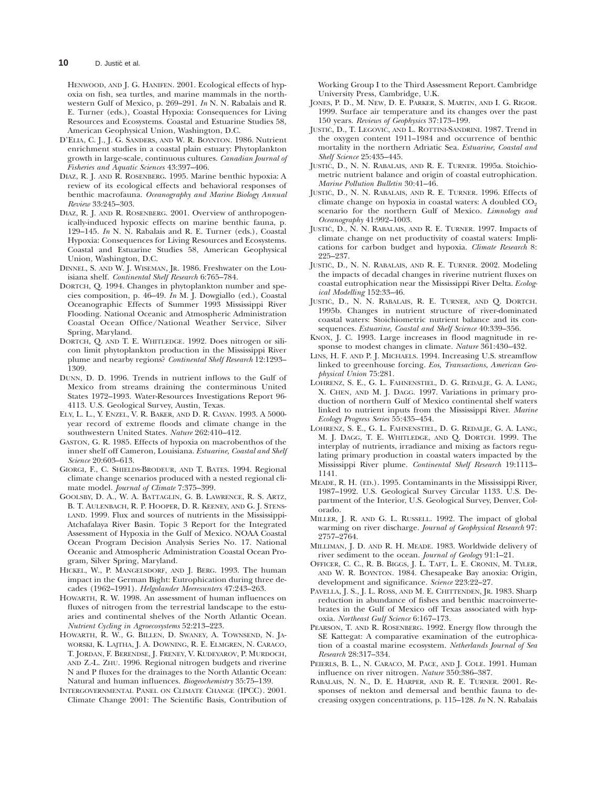HENWOOD, AND J. G. HANIFEN. 2001. Ecological effects of hypoxia on fish, sea turtles, and marine mammals in the northwestern Gulf of Mexico, p. 269–291. *In* N. N. Rabalais and R. E. Turner (eds.), Coastal Hypoxia: Consequences for Living Resources and Ecosystems. Coastal and Estuarine Studies 58, American Geophysical Union, Washington, D.C.

- D'ELIA, C. J., J. G. SANDERS, AND W. R. BOYNTON. 1986. Nutrient enrichment studies in a coastal plain estuary: Phytoplankton growth in large-scale, continuous cultures. *Canadian Journal of Fisheries and Aquatic Sciences* 43:397–406.
- DIAZ, R. J. AND R. ROSENBERG. 1995. Marine benthic hypoxia: A review of its ecological effects and behavioral responses of benthic macrofauna. *Oceanography and Marine Biology Annual Review* 33:245–303.
- DIAZ, R. J. AND R. ROSENBERG. 2001. Overview of anthropogenically-induced hypoxic effects on marine benthic fauna, p. 129–145. *In* N. N. Rabalais and R. E. Turner (eds.), Coastal Hypoxia: Consequences for Living Resources and Ecosystems. Coastal and Estuarine Studies 58, American Geophysical Union, Washington, D.C.
- DINNEL, S. AND W. J. WISEMAN, JR. 1986. Freshwater on the Louisiana shelf. *Continental Shelf Research* 6:765–784.
- DORTCH, Q. 1994. Changes in phytoplankton number and species composition, p. 46–49. *In* M. J. Dowgiallo (ed.), Coastal Oceanographic Effects of Summer 1993 Mississippi River Flooding. National Oceanic and Atmospheric Administration Coastal Ocean Office/National Weather Service, Silver Spring, Maryland.
- DORTCH, Q. AND T. E. WHITLEDGE. 1992. Does nitrogen or silicon limit phytoplankton production in the Mississippi River plume and nearby regions? *Continental Shelf Research* 12:1293– 1309.
- DUNN, D. D. 1996. Trends in nutrient inflows to the Gulf of Mexico from streams draining the conterminous United States 1972–1993. Water-Resources Investigations Report 96- 4113. U.S. Geological Survey, Austin, Texas.
- ELY, L. L., Y. ENZEL, V. R. BAKER, AND D. R. CAYAN. 1993. A 5000 year record of extreme floods and climate change in the southwestern United States. *Nature* 262:410–412.
- GASTON, G. R. 1985. Effects of hypoxia on macrobenthos of the inner shelf off Cameron, Louisiana. *Estuarine, Coastal and Shelf Science* 20:603–613.
- GIORGI, F., C. SHIELDS-BRODEUR, AND T. BATES. 1994. Regional climate change scenarios produced with a nested regional climate model. *Journal of Climate* 7:375–399.
- GOOLSBY, D. A., W. A. BATTAGLIN, G. B. LAWRENCE, R. S. ARTZ, B. T. AULENBACH, R. P. HOOPER, D. R. KEENEY, AND G. J. STENS-LAND. 1999. Flux and sources of nutrients in the Mississippi-Atchafalaya River Basin. Topic 3 Report for the Integrated Assessment of Hypoxia in the Gulf of Mexico. NOAA Coastal Ocean Program Decision Analysis Series No. 17. National Oceanic and Atmospheric Administration Coastal Ocean Program, Silver Spring, Maryland.
- HICKEL, W., P. MANGELSDORF, AND J. BERG. 1993. The human impact in the German Bight: Eutrophication during three decades (1962–1991). *Helgolander Meeresunters* 47:243–263.
- HOWARTH, R. W. 1998. An assessment of human influences on fluxes of nitrogen from the terrestrial landscape to the estuaries and continental shelves of the North Atlantic Ocean. *Nutrient Cycling in Agroecosystems* 52:213–223.
- HOWARTH, R. W., G. BILLEN, D. SWANEY, A. TOWNSEND, N. JA-WORSKI, K. LAJTHA, J. A. DOWNING, R. E. ELMGREN, N. CARACO, T. JORDAN, F. BERENDSE, J. FRENEY, V. KUDEYAROV, P. MURDOCH, AND Z.-L. ZHU. 1996. Regional nitrogen budgets and riverine N and P fluxes for the drainages to the North Atlantic Ocean: Natural and human influences. *Biogeochemistry* 35:75–139.
- INTERGOVERNMENTAL PANEL ON CLIMATE CHANGE (IPCC). 2001. Climate Change 2001: The Scientific Basis, Contribution of

Working Group I to the Third Assessment Report. Cambridge University Press, Cambridge, U.K.

- JONES, P. D., M. NEW, D. E. PARKER, S. MARTIN, AND I. G. RIGOR. 1999. Surface air temperature and its changes over the past 150 years. *Reviews of Geophysics* 37:173–199.
- JUSTIC´, D., T. LEGOVIC´, AND L. ROTTINI-SANDRINI. 1987. Trend in the oxygen content 1911–1984 and occurrence of benthic mortality in the northern Adriatic Sea. *Estuarine, Coastal and Shelf Science* 25:435–445.
- JUSTIC´, D., N. N. RABALAIS, AND R. E. TURNER. 1995a. Stoichiometric nutrient balance and origin of coastal eutrophication. *Marine Pollution Bulletin* 30:41–46.
- JUSTIĆ, D., N. N. RABALAIS, AND R. E. TURNER. 1996. Effects of climate change on hypoxia in coastal waters: A doubled  $CO<sub>2</sub>$ scenario for the northern Gulf of Mexico. *Limnology and Oceanography* 41:992–1003.
- JUSTIC´, D., N. N. RABALAIS, AND R. E. TURNER. 1997. Impacts of climate change on net productivity of coastal waters: Implications for carbon budget and hypoxia. *Climate Research* 8: 225–237.
- JUSTIĆ, D., N. N. RABALAIS, AND R. E. TURNER. 2002. Modeling the impacts of decadal changes in riverine nutrient fluxes on coastal eutrophication near the Mississippi River Delta. *Ecological Modelling* 152:33–46.
- JUSTIĆ, D., N. N. RABALAIS, R. E. TURNER, AND Q. DORTCH. 1995b. Changes in nutrient structure of river-dominated coastal waters: Stoichiometric nutrient balance and its consequences. *Estuarine, Coastal and Shelf Science* 40:339–356.
- KNOX, J. C. 1993. Large increases in flood magnitude in response to modest changes in climate. *Nature* 361:430–432.
- LINS, H. F. AND P. J. MICHAELS. 1994. Increasing U.S. streamflow linked to greenhouse forcing. *Eos, Transactions, American Geophysical Union* 75:281.
- LOHRENZ, S. E., G. L. FAHNENSTIEL, D. G. REDALJE, G. A. LANG, X. CHEN, AND M. J. DAGG. 1997. Variations in primary production of northern Gulf of Mexico continental shelf waters linked to nutrient inputs from the Mississippi River. *Marine Ecology Progress Series* 55:435–454.
- LOHRENZ, S. E., G. L. FAHNENSTIEL, D. G. REDALJE, G. A. LANG, M. J. DAGG, T. E. WHITLEDGE, AND Q. DORTCH. 1999. The interplay of nutrients, irradiance and mixing as factors regulating primary production in coastal waters impacted by the Mississippi River plume. *Continental Shelf Research* 19:1113– 1141.
- MEADE, R. H. (ED.). 1995. Contaminants in the Mississippi River, 1987–1992. U.S. Geological Survey Circular 1133. U.S. Department of the Interior, U.S. Geological Survey, Denver, Colorado.
- MILLER, J. R. AND G. L. RUSSELL. 1992. The impact of global warming on river discharge. *Journal of Geophysical Research* 97: 2757–2764.
- MILLIMAN, J. D. AND R. H. MEADE. 1983. Worldwide delivery of river sediment to the ocean. *Journal of Geology* 91:1–21.
- OFFICER, C. C., R. B. BIGGS, J. L. TAFT, L. E. CRONIN, M. TYLER, AND W. R. BOYNTON. 1984. Chesapeake Bay anoxia: Origin, development and significance. *Science* 223:22–27.
- PAVELLA, J. S., J. L. ROSS, AND M. E. CHITTENDEN, JR. 1983. Sharp reduction in abundance of fishes and benthic macroinvertebrates in the Gulf of Mexico off Texas associated with hypoxia. *Northeast Gulf Science* 6:167–173.
- PEARSON, T. AND R. ROSENBERG. 1992. Energy flow through the SE Kattegat: A comparative examination of the eutrophication of a coastal marine ecosystem. *Netherlands Journal of Sea Research* 28:317–334.
- PEIERLS, B. L., N. CARACO, M. PACE, AND J. COLE. 1991. Human influence on river nitrogen. *Nature* 350:386–387.
- RABALAIS, N. N., D. E. HARPER, AND R. E. TURNER. 2001. Responses of nekton and demersal and benthic fauna to decreasing oxygen concentrations, p. 115–128. *In* N. N. Rabalais